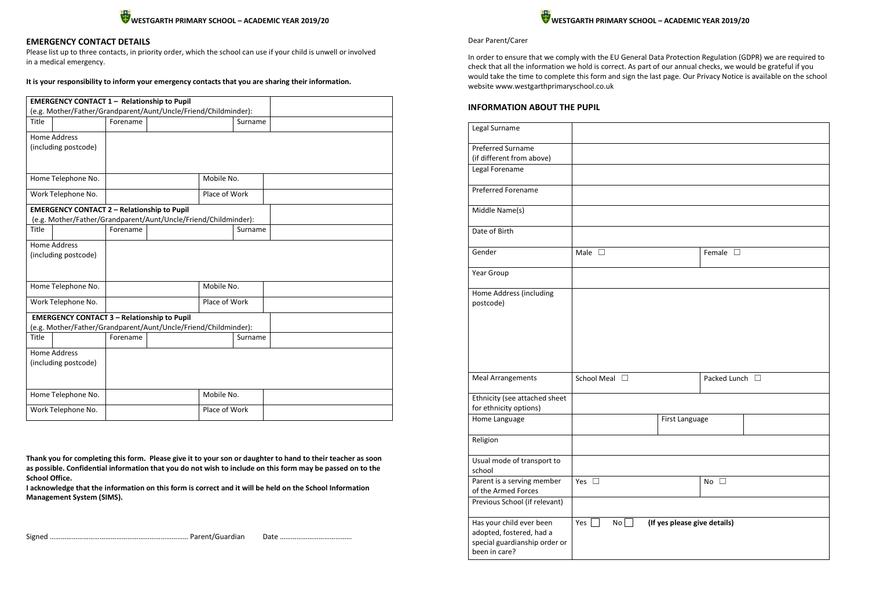

# **EMERGENCY CONTACT DETAILS**

| <b>EMERGENCY CONTACT 1 - Relationship to Pupil</b>              |          |               |               |         |  |
|-----------------------------------------------------------------|----------|---------------|---------------|---------|--|
| (e.g. Mother/Father/Grandparent/Aunt/Uncle/Friend/Childminder): |          |               |               |         |  |
| Title                                                           | Forename |               |               | Surname |  |
| <b>Home Address</b>                                             |          |               |               |         |  |
| (including postcode)                                            |          |               |               |         |  |
|                                                                 |          |               |               |         |  |
| Home Telephone No.                                              |          |               | Mobile No.    |         |  |
| Work Telephone No.                                              |          |               | Place of Work |         |  |
| <b>EMERGENCY CONTACT 2 - Relationship to Pupil</b>              |          |               |               |         |  |
| (e.g. Mother/Father/Grandparent/Aunt/Uncle/Friend/Childminder): |          |               |               |         |  |
| Title                                                           | Forename |               |               | Surname |  |
| <b>Home Address</b>                                             |          |               |               |         |  |
| (including postcode)                                            |          |               |               |         |  |
|                                                                 |          |               |               |         |  |
|                                                                 |          |               |               |         |  |
| Home Telephone No.                                              |          |               | Mobile No.    |         |  |
| Work Telephone No.                                              |          | Place of Work |               |         |  |
| <b>EMERGENCY CONTACT 3 - Relationship to Pupil</b>              |          |               |               |         |  |
| (e.g. Mother/Father/Grandparent/Aunt/Uncle/Friend/Childminder): |          |               |               |         |  |
| Title                                                           | Forename |               |               | Surname |  |
| <b>Home Address</b>                                             |          |               |               |         |  |
| (including postcode)                                            |          |               |               |         |  |
|                                                                 |          |               |               |         |  |
| Home Telephone No.                                              |          |               | Mobile No.    |         |  |
|                                                                 |          |               |               |         |  |
| Work Telephone No.                                              |          |               | Place of Work |         |  |

Please list up to three contacts, in priority order, which the school can use if your child is unwell or involved in a medical emergency.

**It is your responsibility to inform your emergency contacts that you are sharing their information.**

| Legal Surname                                                                                          |                        |                              |                  |  |
|--------------------------------------------------------------------------------------------------------|------------------------|------------------------------|------------------|--|
| <b>Preferred Surname</b><br>(if different from above)                                                  |                        |                              |                  |  |
| Legal Forename                                                                                         |                        |                              |                  |  |
| Preferred Forename                                                                                     |                        |                              |                  |  |
| Middle Name(s)                                                                                         |                        |                              |                  |  |
| Date of Birth                                                                                          |                        |                              |                  |  |
| Gender                                                                                                 | Male<br>$\Box$         |                              | Female $\square$ |  |
| Year Group                                                                                             |                        |                              |                  |  |
| Home Address (including<br>postcode)                                                                   |                        |                              |                  |  |
| <b>Meal Arrangements</b>                                                                               | School Meal □          |                              | Packed Lunch □   |  |
| Ethnicity (see attached sheet<br>for ethnicity options)                                                |                        |                              |                  |  |
| Home Language                                                                                          |                        | First Language               |                  |  |
| Religion                                                                                               |                        |                              |                  |  |
| Usual mode of transport to<br>school                                                                   |                        |                              |                  |  |
| Parent is a serving member<br>of the Armed Forces                                                      | Yes $\square$          |                              | No $\square$     |  |
| Previous School (if relevant)                                                                          |                        |                              |                  |  |
| Has your child ever been<br>adopted, fostered, had a<br>special guardianship order or<br>been in care? | Yes<br>No <sub>1</sub> | (If yes please give details) |                  |  |

**Thank you for completing this form. Please give it to your son or daughter to hand to their teacher as soon as possible. Confidential information that you do not wish to include on this form may be passed on to the School Office.** 

**I acknowledge that the information on this form is correct and it will be held on the School Information Management System (SIMS).**

Signed ………………………………………………………………… Parent/Guardian Date …………………………………

#### Dear Parent/Carer

In order to ensure that we comply with the EU General Data Protection Regulation (GDPR) we are required to check that all the information we hold is correct. As part of our annual checks, we would be grateful if you would take the time to complete this form and sign the last page. Our Privacy Notice is available on the school website www.westgarthprimaryschool.co.uk

## **INFORMATION ABOUT THE PUPIL**